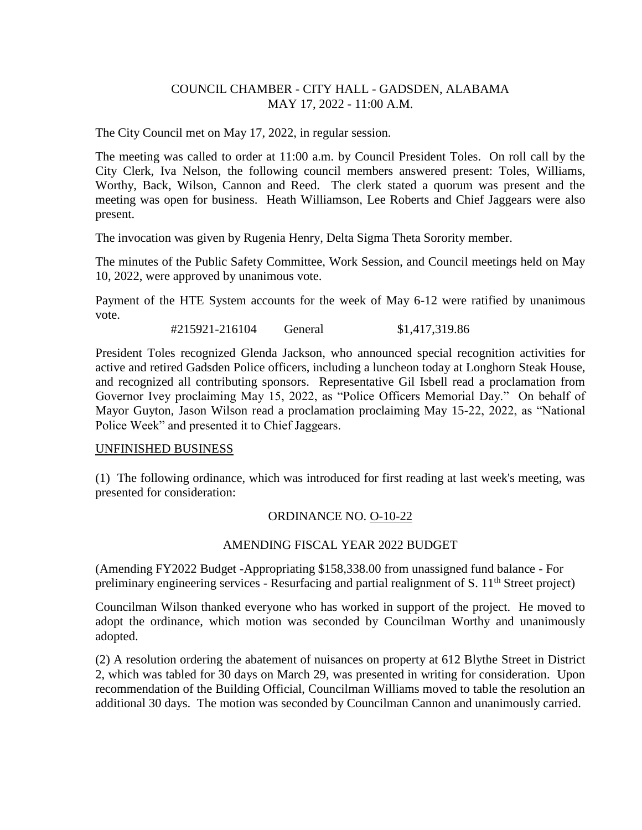# COUNCIL CHAMBER - CITY HALL - GADSDEN, ALABAMA MAY 17, 2022 - 11:00 A.M.

The City Council met on May 17, 2022, in regular session.

The meeting was called to order at 11:00 a.m. by Council President Toles. On roll call by the City Clerk, Iva Nelson, the following council members answered present: Toles, Williams, Worthy, Back, Wilson, Cannon and Reed. The clerk stated a quorum was present and the meeting was open for business. Heath Williamson, Lee Roberts and Chief Jaggears were also present.

The invocation was given by Rugenia Henry, Delta Sigma Theta Sorority member.

The minutes of the Public Safety Committee, Work Session, and Council meetings held on May 10, 2022, were approved by unanimous vote.

Payment of the HTE System accounts for the week of May 6-12 were ratified by unanimous vote.

#215921-216104 General \$1,417,319.86

President Toles recognized Glenda Jackson, who announced special recognition activities for active and retired Gadsden Police officers, including a luncheon today at Longhorn Steak House, and recognized all contributing sponsors. Representative Gil Isbell read a proclamation from Governor Ivey proclaiming May 15, 2022, as "Police Officers Memorial Day." On behalf of Mayor Guyton, Jason Wilson read a proclamation proclaiming May 15-22, 2022, as "National Police Week" and presented it to Chief Jaggears.

### UNFINISHED BUSINESS

(1) The following ordinance, which was introduced for first reading at last week's meeting, was presented for consideration:

### ORDINANCE NO. O-10-22

### AMENDING FISCAL YEAR 2022 BUDGET

(Amending FY2022 Budget -Appropriating \$158,338.00 from unassigned fund balance - For preliminary engineering services - Resurfacing and partial realignment of S.  $11<sup>th</sup>$  Street project)

Councilman Wilson thanked everyone who has worked in support of the project. He moved to adopt the ordinance, which motion was seconded by Councilman Worthy and unanimously adopted.

(2) A resolution ordering the abatement of nuisances on property at 612 Blythe Street in District 2, which was tabled for 30 days on March 29, was presented in writing for consideration. Upon recommendation of the Building Official, Councilman Williams moved to table the resolution an additional 30 days. The motion was seconded by Councilman Cannon and unanimously carried.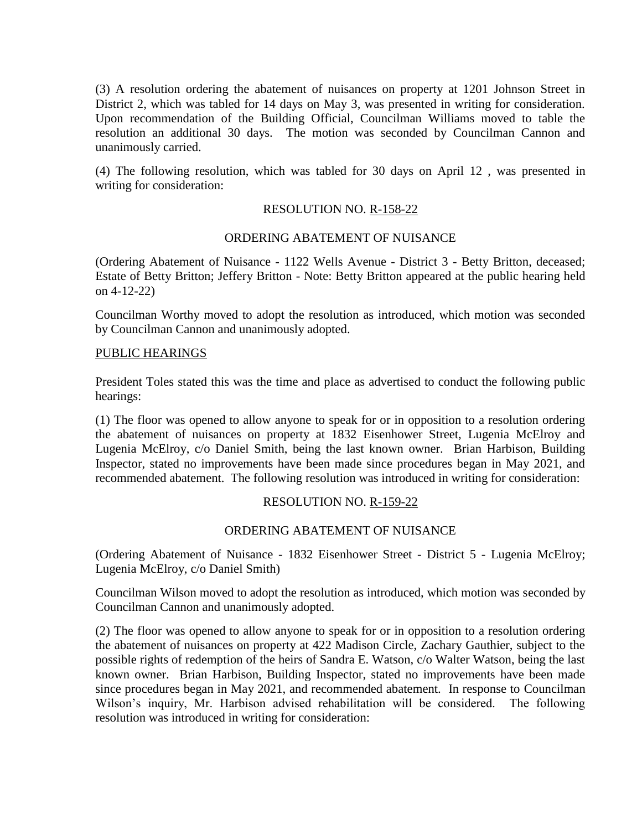(3) A resolution ordering the abatement of nuisances on property at 1201 Johnson Street in District 2, which was tabled for 14 days on May 3, was presented in writing for consideration. Upon recommendation of the Building Official, Councilman Williams moved to table the resolution an additional 30 days. The motion was seconded by Councilman Cannon and unanimously carried.

(4) The following resolution, which was tabled for 30 days on April 12 , was presented in writing for consideration:

# RESOLUTION NO. R-158-22

### ORDERING ABATEMENT OF NUISANCE

(Ordering Abatement of Nuisance - 1122 Wells Avenue - District 3 - Betty Britton, deceased; Estate of Betty Britton; Jeffery Britton - Note: Betty Britton appeared at the public hearing held on 4-12-22)

Councilman Worthy moved to adopt the resolution as introduced, which motion was seconded by Councilman Cannon and unanimously adopted.

#### PUBLIC HEARINGS

President Toles stated this was the time and place as advertised to conduct the following public hearings:

(1) The floor was opened to allow anyone to speak for or in opposition to a resolution ordering the abatement of nuisances on property at 1832 Eisenhower Street, Lugenia McElroy and Lugenia McElroy, c/o Daniel Smith, being the last known owner. Brian Harbison, Building Inspector, stated no improvements have been made since procedures began in May 2021, and recommended abatement. The following resolution was introduced in writing for consideration:

### RESOLUTION NO. R-159-22

### ORDERING ABATEMENT OF NUISANCE

(Ordering Abatement of Nuisance - 1832 Eisenhower Street - District 5 - Lugenia McElroy; Lugenia McElroy, c/o Daniel Smith)

Councilman Wilson moved to adopt the resolution as introduced, which motion was seconded by Councilman Cannon and unanimously adopted.

(2) The floor was opened to allow anyone to speak for or in opposition to a resolution ordering the abatement of nuisances on property at 422 Madison Circle, Zachary Gauthier, subject to the possible rights of redemption of the heirs of Sandra E. Watson, c/o Walter Watson, being the last known owner. Brian Harbison, Building Inspector, stated no improvements have been made since procedures began in May 2021, and recommended abatement. In response to Councilman Wilson's inquiry, Mr. Harbison advised rehabilitation will be considered. The following resolution was introduced in writing for consideration: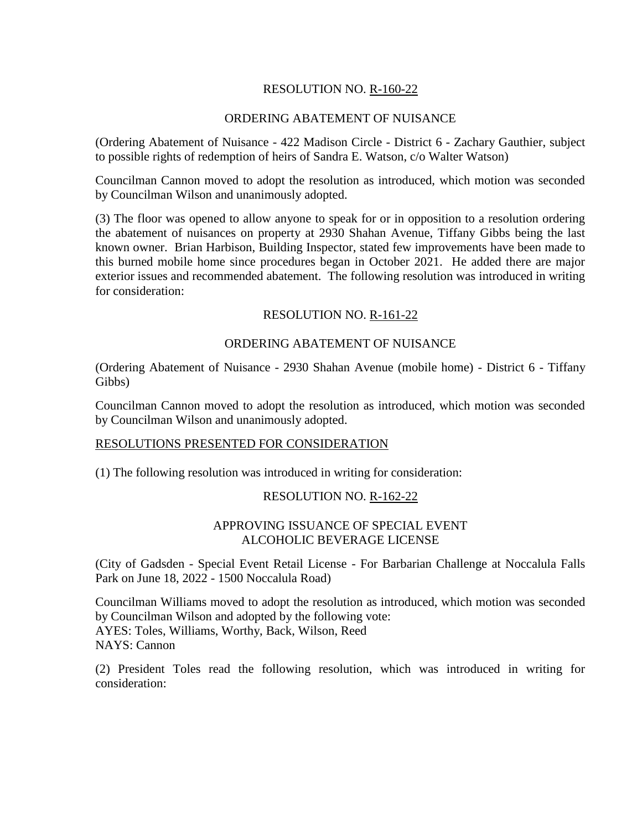# RESOLUTION NO. R-160-22

### ORDERING ABATEMENT OF NUISANCE

(Ordering Abatement of Nuisance - 422 Madison Circle - District 6 - Zachary Gauthier, subject to possible rights of redemption of heirs of Sandra E. Watson, c/o Walter Watson)

Councilman Cannon moved to adopt the resolution as introduced, which motion was seconded by Councilman Wilson and unanimously adopted.

(3) The floor was opened to allow anyone to speak for or in opposition to a resolution ordering the abatement of nuisances on property at 2930 Shahan Avenue, Tiffany Gibbs being the last known owner. Brian Harbison, Building Inspector, stated few improvements have been made to this burned mobile home since procedures began in October 2021. He added there are major exterior issues and recommended abatement. The following resolution was introduced in writing for consideration:

# RESOLUTION NO. R-161-22

### ORDERING ABATEMENT OF NUISANCE

(Ordering Abatement of Nuisance - 2930 Shahan Avenue (mobile home) - District 6 - Tiffany Gibbs)

Councilman Cannon moved to adopt the resolution as introduced, which motion was seconded by Councilman Wilson and unanimously adopted.

### RESOLUTIONS PRESENTED FOR CONSIDERATION

(1) The following resolution was introduced in writing for consideration:

### RESOLUTION NO. R-162-22

### APPROVING ISSUANCE OF SPECIAL EVENT ALCOHOLIC BEVERAGE LICENSE

(City of Gadsden - Special Event Retail License - For Barbarian Challenge at Noccalula Falls Park on June 18, 2022 - 1500 Noccalula Road)

Councilman Williams moved to adopt the resolution as introduced, which motion was seconded by Councilman Wilson and adopted by the following vote: AYES: Toles, Williams, Worthy, Back, Wilson, Reed NAYS: Cannon

(2) President Toles read the following resolution, which was introduced in writing for consideration: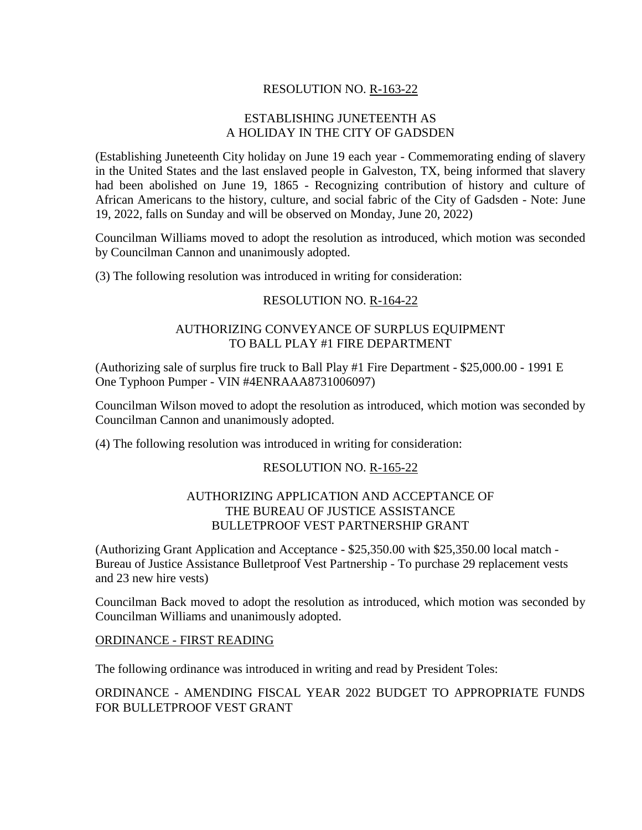# RESOLUTION NO. R-163-22

# ESTABLISHING JUNETEENTH AS A HOLIDAY IN THE CITY OF GADSDEN

(Establishing Juneteenth City holiday on June 19 each year - Commemorating ending of slavery in the United States and the last enslaved people in Galveston, TX, being informed that slavery had been abolished on June 19, 1865 - Recognizing contribution of history and culture of African Americans to the history, culture, and social fabric of the City of Gadsden - Note: June 19, 2022, falls on Sunday and will be observed on Monday, June 20, 2022)

Councilman Williams moved to adopt the resolution as introduced, which motion was seconded by Councilman Cannon and unanimously adopted.

(3) The following resolution was introduced in writing for consideration:

### RESOLUTION NO. R-164-22

# AUTHORIZING CONVEYANCE OF SURPLUS EQUIPMENT TO BALL PLAY #1 FIRE DEPARTMENT

(Authorizing sale of surplus fire truck to Ball Play #1 Fire Department - \$25,000.00 - 1991 E One Typhoon Pumper - VIN #4ENRAAA8731006097)

Councilman Wilson moved to adopt the resolution as introduced, which motion was seconded by Councilman Cannon and unanimously adopted.

(4) The following resolution was introduced in writing for consideration:

### RESOLUTION NO. R-165-22

# AUTHORIZING APPLICATION AND ACCEPTANCE OF THE BUREAU OF JUSTICE ASSISTANCE BULLETPROOF VEST PARTNERSHIP GRANT

(Authorizing Grant Application and Acceptance - \$25,350.00 with \$25,350.00 local match - Bureau of Justice Assistance Bulletproof Vest Partnership - To purchase 29 replacement vests and 23 new hire vests)

Councilman Back moved to adopt the resolution as introduced, which motion was seconded by Councilman Williams and unanimously adopted.

#### ORDINANCE - FIRST READING

The following ordinance was introduced in writing and read by President Toles:

ORDINANCE - AMENDING FISCAL YEAR 2022 BUDGET TO APPROPRIATE FUNDS FOR BULLETPROOF VEST GRANT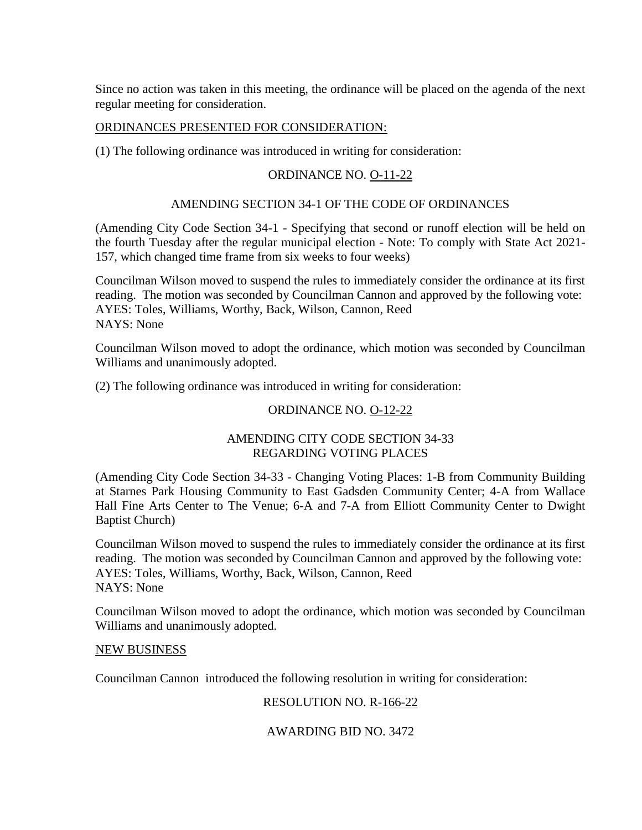Since no action was taken in this meeting, the ordinance will be placed on the agenda of the next regular meeting for consideration.

### ORDINANCES PRESENTED FOR CONSIDERATION:

(1) The following ordinance was introduced in writing for consideration:

# ORDINANCE NO. O-11-22

### AMENDING SECTION 34-1 OF THE CODE OF ORDINANCES

(Amending City Code Section 34-1 - Specifying that second or runoff election will be held on the fourth Tuesday after the regular municipal election - Note: To comply with State Act 2021- 157, which changed time frame from six weeks to four weeks)

Councilman Wilson moved to suspend the rules to immediately consider the ordinance at its first reading. The motion was seconded by Councilman Cannon and approved by the following vote: AYES: Toles, Williams, Worthy, Back, Wilson, Cannon, Reed NAYS: None

Councilman Wilson moved to adopt the ordinance, which motion was seconded by Councilman Williams and unanimously adopted.

(2) The following ordinance was introduced in writing for consideration:

#### ORDINANCE NO. O-12-22

# AMENDING CITY CODE SECTION 34-33 REGARDING VOTING PLACES

(Amending City Code Section 34-33 - Changing Voting Places: 1-B from Community Building at Starnes Park Housing Community to East Gadsden Community Center; 4-A from Wallace Hall Fine Arts Center to The Venue; 6-A and 7-A from Elliott Community Center to Dwight Baptist Church)

Councilman Wilson moved to suspend the rules to immediately consider the ordinance at its first reading. The motion was seconded by Councilman Cannon and approved by the following vote: AYES: Toles, Williams, Worthy, Back, Wilson, Cannon, Reed NAYS: None

Councilman Wilson moved to adopt the ordinance, which motion was seconded by Councilman Williams and unanimously adopted.

#### NEW BUSINESS

Councilman Cannon introduced the following resolution in writing for consideration:

### RESOLUTION NO. R-166-22

### AWARDING BID NO. 3472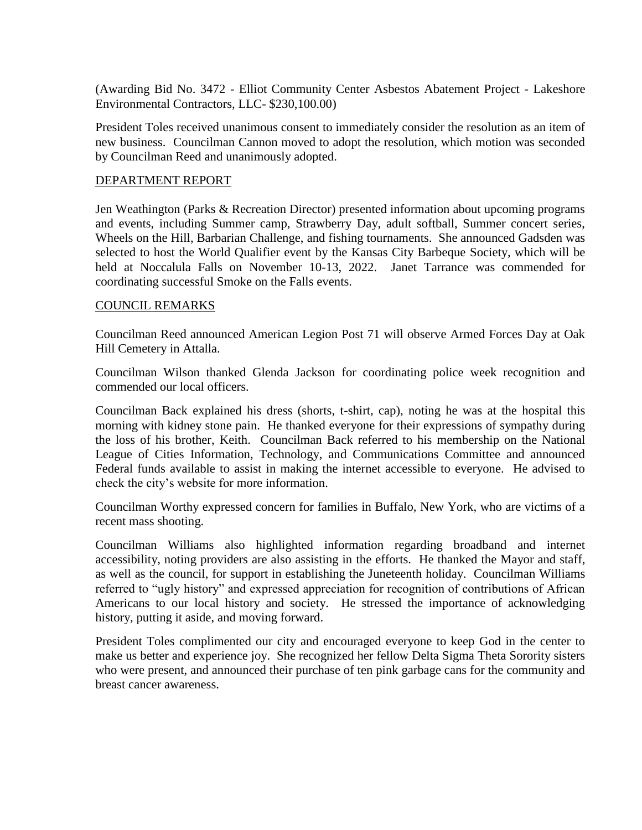(Awarding Bid No. 3472 - Elliot Community Center Asbestos Abatement Project - Lakeshore Environmental Contractors, LLC- \$230,100.00)

President Toles received unanimous consent to immediately consider the resolution as an item of new business. Councilman Cannon moved to adopt the resolution, which motion was seconded by Councilman Reed and unanimously adopted.

#### DEPARTMENT REPORT

Jen Weathington (Parks & Recreation Director) presented information about upcoming programs and events, including Summer camp, Strawberry Day, adult softball, Summer concert series, Wheels on the Hill, Barbarian Challenge, and fishing tournaments. She announced Gadsden was selected to host the World Qualifier event by the Kansas City Barbeque Society, which will be held at Noccalula Falls on November 10-13, 2022. Janet Tarrance was commended for coordinating successful Smoke on the Falls events.

#### COUNCIL REMARKS

Councilman Reed announced American Legion Post 71 will observe Armed Forces Day at Oak Hill Cemetery in Attalla.

Councilman Wilson thanked Glenda Jackson for coordinating police week recognition and commended our local officers.

Councilman Back explained his dress (shorts, t-shirt, cap), noting he was at the hospital this morning with kidney stone pain. He thanked everyone for their expressions of sympathy during the loss of his brother, Keith. Councilman Back referred to his membership on the National League of Cities Information, Technology, and Communications Committee and announced Federal funds available to assist in making the internet accessible to everyone. He advised to check the city's website for more information.

Councilman Worthy expressed concern for families in Buffalo, New York, who are victims of a recent mass shooting.

Councilman Williams also highlighted information regarding broadband and internet accessibility, noting providers are also assisting in the efforts. He thanked the Mayor and staff, as well as the council, for support in establishing the Juneteenth holiday. Councilman Williams referred to "ugly history" and expressed appreciation for recognition of contributions of African Americans to our local history and society. He stressed the importance of acknowledging history, putting it aside, and moving forward.

President Toles complimented our city and encouraged everyone to keep God in the center to make us better and experience joy. She recognized her fellow Delta Sigma Theta Sorority sisters who were present, and announced their purchase of ten pink garbage cans for the community and breast cancer awareness.